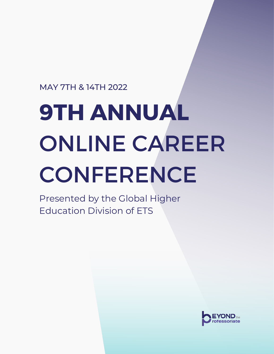### MAY 7TH & 14TH 2022

# **9TH ANNUAL**  ONLINE CAREER **CONFERENCE**

Presented by the Global Higher Education Division of ETS

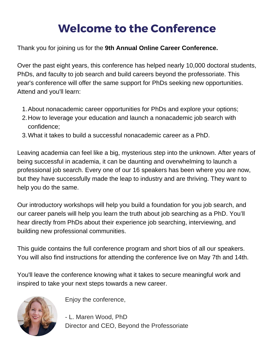## **Welcome to the Conference**

Thank you for joining us for the **9th Annual Online Career Conference.**

[Over the past eight years, this conference has helped nearly 10,000 doctoral students,](https://beyondprof.com/) PhDs, and faculty to job search and build careers beyond the professoriate. This year's conference will offer the same support for PhDs seeking new opportunities. Attend and you'll learn:

- About nonacademic career opportunities for PhDs and explore your options; 1.
- 2. How to leverage your education and launch a nonacademic job search with confidence;
- What it takes to build a successful nonacademic career as a PhD. 3.

Leaving academia can feel like a big, mysterious step into the unknown. After years of being successful in academia, it can be daunting and overwhelming to launch a professional job search. Every one of our 16 speakers has been where you are now, but they have successfully made the leap to industry and are thriving. They want to help you do the same.

Our introductory workshops will help you build a foundation for you job search, and our career panels will help you learn the truth about job searching as a PhD. You'll hear directly from PhDs about their experience job searching, interviewing, and building new professional communities.

This guide contains the full conference program and short bios of all our speakers. You will also find instructions for attending the conference live on May 7th and 14th.

You'll leave the conference knowing what it takes to secure meaningful work and inspired to take your next steps towards a new career.



Enjoy the conference,

- L. Maren Wood, PhD Director and CEO, Beyond the Professoriate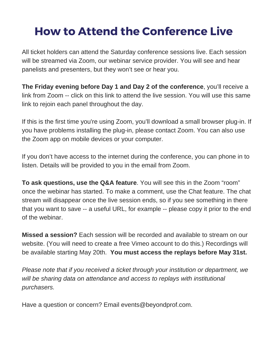### **How to Attend the Conference Live**

All ticket holders can attend the Saturday conference sessions live. Each session will be streamed via Zoom, our webinar service provider. You will see and hear panelists and presenters, but they won't see or hear you.

**The Friday evening before Day 1 and Day 2 of the conference**, you'll receive a link from Zoom -- click on this link to attend the live session. You will use this same link to rejoin each panel throughout the day.

If this is the first time you're using Zoom, you'll download a small browser plug-in. If you have problems installing the plug-in, please contact Zoom. You can also use the Zoom app on mobile devices or your computer.

If you don't have access to the internet during the conference, you can phone in to listen. Details will be provided to you in the email from Zoom.

**To ask questions, use the Q&A feature**. You will see this in the Zoom "room" once the webinar has started. To make a comment, use the Chat feature. The chat stream will disappear once the live session ends, so if you see something in there that you want to save -- a useful URL, for example -- please copy it prior to the end of the webinar.

**Missed a session?** Each session will be recorded and available to stream on our website. (You will need to create a free Vimeo account to do this.) Recordings will be available starting May 20th. **You must access the replays before May 31st.** 

*Please note that if you received a ticket through your institution or department, we will be sharing data on attendance and access to replays with institutional purchasers.*

Have a question or concern? Email events@beyondprof.com.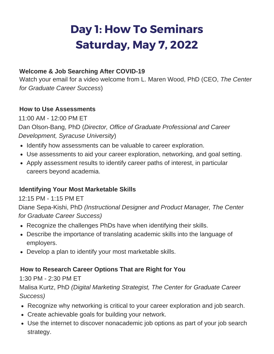## **Day 1: How To Seminars Saturday, May 7, 2022**

### **Welcome & Job Searching After COVID-19**

Watch your email for a video welcome from L. Maren Wood, PhD (CEO, *The Center for Graduate Career Success*)

### **How to Use Assessments**

11:00 AM - 12:00 PM ET Dan Olson-Bang, PhD (*Director, Office of Graduate Professional and Career Development, Syracuse University*)

- Identify how assessments can be valuable to career exploration.
- Use assessments to aid your career exploration, networking, and goal setting.
- Apply assessment results to identify career paths of interest, in particular careers beyond academia.

### **Identifying Your Most Marketable Skills**

### 12:15 PM - 1:15 PM ET

Diane Sepa-Kishi, PhD *(Instructional Designer and Product Manager, The Center for Graduate Career Success)* 

- Recognize the challenges PhDs have when identifying their skills.
- Describe the importance of translating academic skills into the language of employers.
- Develop a plan to identify your most marketable skills.

### **How to Research Career Options That are Right for You**

### 1:30 PM - 2:30 PM ET

Malisa Kurtz, PhD *(Digital Marketing Strategist, The Center for Graduate Career Success)*

- Recognize why networking is critical to your career exploration and job search.
- Create achievable goals for building your network.
- Use the internet to discover nonacademic job options as part of your job search strategy.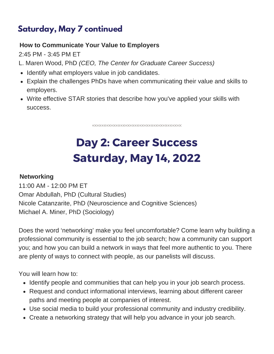### **Saturday, May 7 continued**

### **How to Communicate Your Value to Employers**

2:45 PM - 3:45 PM ET

- L. Maren Wood, PhD *(CEO, The Center for Graduate Career Success)*
- Identify what employers value in job candidates.
- Explain the challenges PhDs have when communicating their value and skills to employers.
- Write effective STAR stories that describe how you've applied your skills with success.

οΧοΧοΧοΧοΧοΧοΧοΧοΧοΧοΧοΧοΧοΧοΧοΧοΧοΧο

# **Day 2: Career Success Saturday, May 14, 2022**

#### **Networking**

11:00 AM - 12:00 PM ET Omar Abdullah, PhD (Cultural Studies) Nicole Catanzarite, PhD (Neuroscience and Cognitive Sciences) Michael A. Miner, PhD (Sociology)

Does the word 'networking' make you feel uncomfortable? Come learn why building a professional community is essential to the job search; how a community can support you; and how you can build a network in ways that feel more authentic to you. There are plenty of ways to connect with people, as our panelists will discuss.

You will learn how to:

- Identify people and communities that can help you in your job search process.
- Request and conduct informational interviews, learning about different career paths and meeting people at companies of interest.
- Use social media to build your professional community and industry credibility.
- Create a networking strategy that will help you advance in your job search.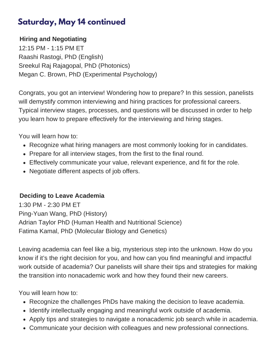### **Saturday, May 14 continued**

### **Hiring and Negotiating**

12:15 PM - 1:15 PM ET Raashi Rastogi, PhD (English) Sreekul Raj Rajagopal, PhD (Photonics) Megan C. Brown, PhD (Experimental Psychology)

Congrats, you got an interview! Wondering how to prepare? In this session, panelists will demystify common interviewing and hiring practices for professional careers. Typical interview stages, processes, and questions will be discussed in order to help you learn how to prepare effectively for the interviewing and hiring stages.

You will learn how to:

- Recognize what hiring managers are most commonly looking for in candidates.
- Prepare for all interview stages, from the first to the final round.
- Effectively communicate your value, relevant experience, and fit for the role.
- Negotiate different aspects of job offers.

#### **Deciding to Leave Academia**

1:30 PM - 2:30 PM ET Ping-Yuan Wang, PhD (History) Adrian Taylor PhD (Human Health and Nutritional Science) Fatima Kamal, PhD (Molecular Biology and Genetics)

Leaving academia can feel like a big, mysterious step into the unknown. How do you know if it's the right decision for you, and how can you find meaningful and impactful work outside of academia? Our panelists will share their tips and strategies for making the transition into nonacademic work and how they found their new careers.

You will learn how to:

- Recognize the challenges PhDs have making the decision to leave academia.
- Identify intellectually engaging and meaningful work outside of academia.
- Apply tips and strategies to navigate a nonacademic job search while in academia.
- Communicate your decision with colleagues and new professional connections.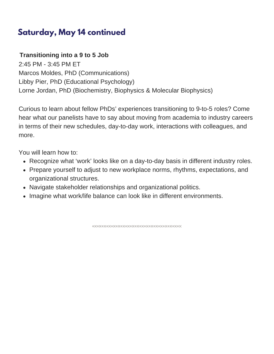### **Saturday, May 14 continued**

#### **Transitioning into a 9 to 5 Job**

2:45 PM - 3:45 PM ET Marcos Moldes, PhD (Communications) Libby Pier, PhD (Educational Psychology) Lorne Jordan, PhD (Biochemistry, Biophysics & Molecular Biophysics)

Curious to learn about fellow PhDs' experiences transitioning to 9-to-5 roles? Come hear what our panelists have to say about moving from academia to industry careers in terms of their new schedules, day-to-day work, interactions with colleagues, and more.

You will learn how to:

- Recognize what 'work' looks like on a day-to-day basis in different industry roles.
- Prepare yourself to adjust to new workplace norms, rhythms, expectations, and organizational structures.
- Navigate stakeholder relationships and organizational politics.
- Imagine what work/life balance can look like in different environments.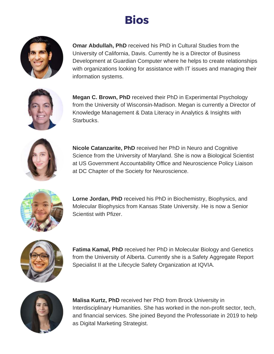### **Bios**



**Omar Abdullah, PhD** received his PhD in Cultural Studies from the University of California, Davis. Currently he is a Director of Business Development at Guardian Computer where he helps to create relationships with organizations looking for assistance with IT issues and managing their information systems.



**Megan C. Brown, PhD** received their PhD in Experimental Psychology from the University of Wisconsin-Madison. Megan is currently a Director of Knowledge Management & Data Literacy in Analytics & Insights with Starbucks.



**Nicole Catanzarite, PhD** received her PhD in Neuro and Cognitive Science from the University of Maryland. She is now a Biological Scientist at US Government Accountability Office and Neuroscience Policy Liaison at DC Chapter of the Society for Neuroscience.



**Lorne Jordan, PhD** received his PhD in Biochemistry, Biophysics, and Molecular Biophysics from Kansas State University. He is now a Senior Scientist with Pfizer.



**Fatima Kamal, PhD** received her PhD in Molecular Biology and Genetics from the University of Alberta. Currently she is a Safety Aggregate Report Specialist II at the Lifecycle Safety Organization at IQVIA.



**Malisa Kurtz, PhD** received her PhD from Brock University in Interdisciplinary Humanities. She has worked in the non-profit sector, tech, and financial services. She joined Beyond the Professoriate in 2019 to help as Digital Marketing Strategist.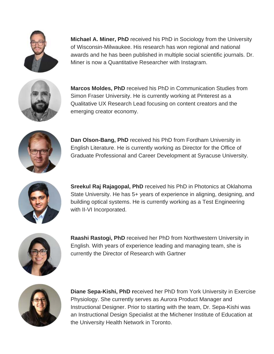

**Michael A. Miner, PhD** received his PhD in Sociology from the University of Wisconsin-Milwaukee. His research has won regional and national awards and he has been published in multiple social scientific journals. Dr. Miner is now a Quantitative Researcher with Instagram.



**Marcos Moldes, PhD** received his PhD in Communication Studies from Simon Fraser University. He is currently working at Pinterest as a Qualitative UX Research Lead focusing on content creators and the emerging creator economy.



**Dan Olson-Bang, PhD** received his PhD from Fordham University in English Literature. He is currently working as Director for the Office of Graduate Professional and Career Development at Syracuse University.



**Sreekul Raj Rajagopal, PhD** received his PhD in Photonics at Oklahoma State University. He has 5+ years of experience in aligning, designing, and building optical systems. He is currently working as a Test Engineering with II-VI Incorporated.



**Raashi Rastogi, PhD** received her PhD from Northwestern University in English. With years of experience leading and managing team, she is currently the Director of Research with Gartner



**Diane Sepa-Kishi, PhD r**eceived her PhD from York University in Exercise Physiology. She currently serves as Aurora Product Manager and Instructional Designer. Prior to starting with the team, Dr. Sepa-Kishi was an Instructional Design Specialist at the Michener Institute of Education at the University Health Network in Toronto.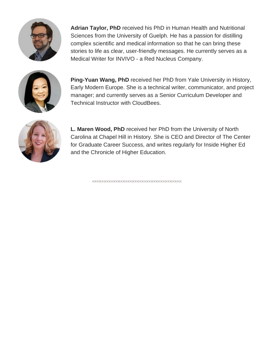

**Adrian Taylor, PhD** received his PhD in Human Health and Nutritional Sciences from the University of Guelph. He has a passion for distilling complex scientific and medical information so that he can bring these stories to life as clear, user-friendly messages. He currently serves as a Medical Writer for INVIVO - a Red Nucleus Company.



**Ping-Yuan Wang, PhD** received her PhD from Yale University in History, Early Modern Europe. She is a technical writer, communicator, and project manager; and currently serves as a Senior Curriculum Developer and Technical Instructor with CloudBees.



**L. Maren Wood, PhD** received her PhD from the University of North Carolina at Chapel Hill in History. She is CEO and Director of The Center for Graduate Career Success, and writes regularly for Inside Higher Ed and the Chronicle of Higher Education.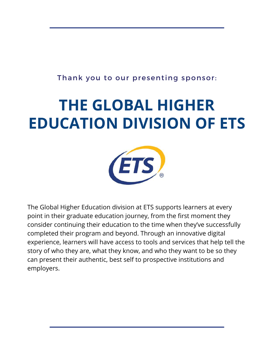Thank you to our presenting sponsor:

# **THE GLOBAL HIGHER EDUCATION DIVISION OF ETS**



The Global Higher Education division at ETS supports learners at every point in their graduate education journey, from the first moment they consider continuing their education to the time when they've successfully completed their program and beyond. Through an innovative digital experience, learners will have access to tools and services that help tell the story of who they are, what they know, and who they want to be so they can present their authentic, best self to prospective institutions and employers.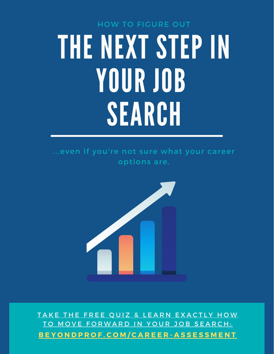# THE NEXT STEP IN YOUR JOB SEARCH HOW TO FIGURE OUT

...even if you're not sure what your career options are.



TAKE THE FREE QUIZ & LEARN EXACTLY HOW TO MOVE FORWARD IN YOUR JOB SEARCH: **[B E Y O N D P R O F . C O M / C A R E E R - A S S E S S M E N T](http://beyondprof.com/career-assessment)**